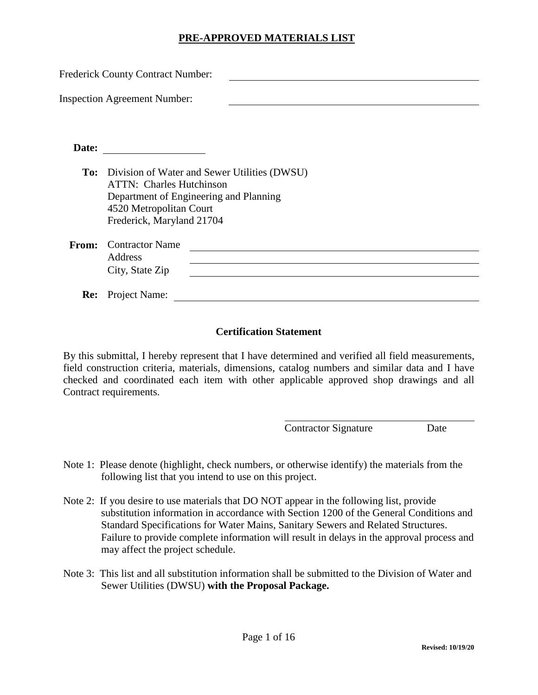| <b>Frederick County Contract Number:</b> |                                                                                                                                                                                   |  |  |  |
|------------------------------------------|-----------------------------------------------------------------------------------------------------------------------------------------------------------------------------------|--|--|--|
|                                          | <b>Inspection Agreement Number:</b>                                                                                                                                               |  |  |  |
| Date:                                    |                                                                                                                                                                                   |  |  |  |
| To:                                      | Division of Water and Sewer Utilities (DWSU)<br><b>ATTN:</b> Charles Hutchinson<br>Department of Engineering and Planning<br>4520 Metropolitan Court<br>Frederick, Maryland 21704 |  |  |  |
| From:                                    | <b>Contractor Name</b><br>Address<br>City, State Zip                                                                                                                              |  |  |  |
| <b>Re:</b>                               | Project Name:                                                                                                                                                                     |  |  |  |

#### **Certification Statement**

By this submittal, I hereby represent that I have determined and verified all field measurements, field construction criteria, materials, dimensions, catalog numbers and similar data and I have checked and coordinated each item with other applicable approved shop drawings and all Contract requirements.

Contractor Signature Date

- Note 1: Please denote (highlight, check numbers, or otherwise identify) the materials from the following list that you intend to use on this project.
- Note 2: If you desire to use materials that DO NOT appear in the following list, provide substitution information in accordance with Section 1200 of the General Conditions and Standard Specifications for Water Mains, Sanitary Sewers and Related Structures. Failure to provide complete information will result in delays in the approval process and may affect the project schedule.
- Note 3: This list and all substitution information shall be submitted to the Division of Water and Sewer Utilities (DWSU) **with the Proposal Package.**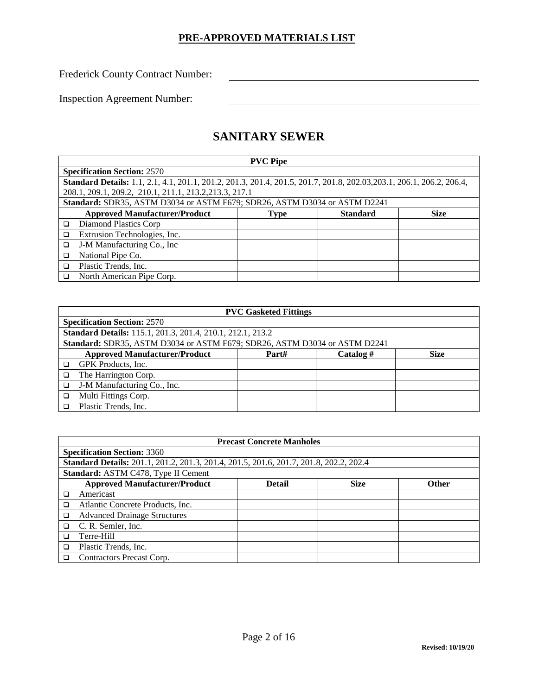Frederick County Contract Number:

Inspection Agreement Number:

## **SANITARY SEWER**

|   | <b>PVC Pipe</b>                                                                                                       |      |                 |             |  |
|---|-----------------------------------------------------------------------------------------------------------------------|------|-----------------|-------------|--|
|   | <b>Specification Section: 2570</b>                                                                                    |      |                 |             |  |
|   | Standard Details: 1.1, 2.1, 4.1, 201.1, 201.2, 201.3, 201.4, 201.5, 201.7, 201.8, 202.03, 203.1, 206.1, 206.2, 206.4, |      |                 |             |  |
|   | 208.1, 209.1, 209.2, 210.1, 211.1, 213.2, 213.3, 217.1                                                                |      |                 |             |  |
|   | Standard: SDR35, ASTM D3034 or ASTM F679; SDR26, ASTM D3034 or ASTM D2241                                             |      |                 |             |  |
|   | <b>Approved Manufacturer/Product</b>                                                                                  | Type | <b>Standard</b> | <b>Size</b> |  |
| ◻ | Diamond Plastics Corp                                                                                                 |      |                 |             |  |
| □ | Extrusion Technologies, Inc.                                                                                          |      |                 |             |  |
| □ | J-M Manufacturing Co., Inc                                                                                            |      |                 |             |  |
| □ | National Pipe Co.                                                                                                     |      |                 |             |  |
| □ | Plastic Trends, Inc.                                                                                                  |      |                 |             |  |
| ◻ | North American Pipe Corp.                                                                                             |      |                 |             |  |

|   | <b>PVC Gasketed Fittings</b>                                              |       |             |             |  |
|---|---------------------------------------------------------------------------|-------|-------------|-------------|--|
|   | <b>Specification Section: 2570</b>                                        |       |             |             |  |
|   | <b>Standard Details:</b> 115.1, 201.3, 201.4, 210.1, 212.1, 213.2         |       |             |             |  |
|   | Standard: SDR35, ASTM D3034 or ASTM F679; SDR26, ASTM D3034 or ASTM D2241 |       |             |             |  |
|   | <b>Approved Manufacturer/Product</b>                                      | Part# | Catalog $#$ | <b>Size</b> |  |
| ◻ | GPK Products, Inc.                                                        |       |             |             |  |
| ❏ | The Harrington Corp.                                                      |       |             |             |  |
| □ | J-M Manufacturing Co., Inc.                                               |       |             |             |  |
| □ | Multi Fittings Corp.                                                      |       |             |             |  |
|   | Plastic Trends, Inc.                                                      |       |             |             |  |

|        | <b>Precast Concrete Manholes</b>                                                       |               |             |              |  |
|--------|----------------------------------------------------------------------------------------|---------------|-------------|--------------|--|
|        | <b>Specification Section: 3360</b>                                                     |               |             |              |  |
|        | Standard Details: 201.1, 201.2, 201.3, 201.4, 201.5, 201.6, 201.7, 201.8, 202.2, 202.4 |               |             |              |  |
|        | Standard: ASTM C478, Type II Cement                                                    |               |             |              |  |
|        | <b>Approved Manufacturer/Product</b>                                                   | <b>Detail</b> | <b>Size</b> | <b>Other</b> |  |
| □      | Americast                                                                              |               |             |              |  |
| □      | Atlantic Concrete Products, Inc.                                                       |               |             |              |  |
| ❏      | <b>Advanced Drainage Structures</b>                                                    |               |             |              |  |
| $\Box$ | C. R. Semler, Inc.                                                                     |               |             |              |  |
| □      | Terre-Hill                                                                             |               |             |              |  |
| □      | Plastic Trends, Inc.                                                                   |               |             |              |  |
|        | Contractors Precast Corp.                                                              |               |             |              |  |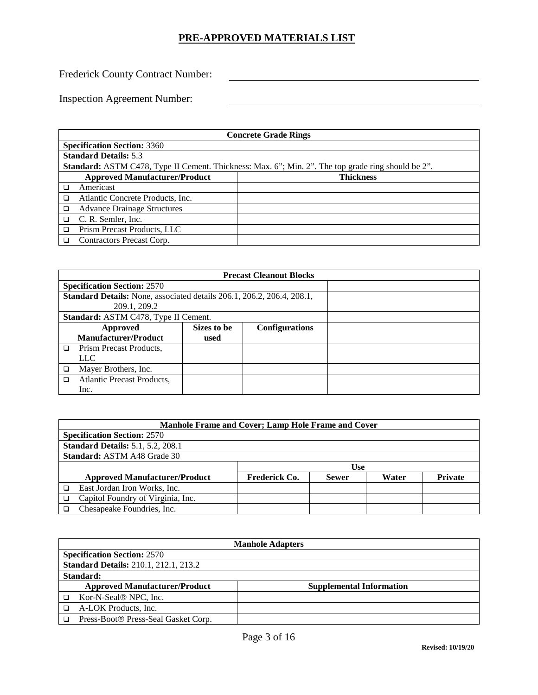Frederick County Contract Number:

| <b>Concrete Grade Rings</b>                                                                               |                  |  |  |
|-----------------------------------------------------------------------------------------------------------|------------------|--|--|
| <b>Specification Section: 3360</b>                                                                        |                  |  |  |
| <b>Standard Details: 5.3</b>                                                                              |                  |  |  |
| <b>Standard:</b> ASTM C478, Type II Cement. Thickness: Max. 6"; Min. 2". The top grade ring should be 2". |                  |  |  |
| <b>Approved Manufacturer/Product</b>                                                                      | <b>Thickness</b> |  |  |
| Americast                                                                                                 |                  |  |  |
| Atlantic Concrete Products, Inc.                                                                          |                  |  |  |
| <b>Advance Drainage Structures</b>                                                                        |                  |  |  |
| C. R. Semler, Inc.                                                                                        |                  |  |  |
| Prism Precast Products, LLC                                                                               |                  |  |  |
| Contractors Precast Corp.                                                                                 |                  |  |  |

| <b>Precast Cleanout Blocks</b>                                                |                                      |                       |  |  |  |
|-------------------------------------------------------------------------------|--------------------------------------|-----------------------|--|--|--|
|                                                                               | <b>Specification Section: 2570</b>   |                       |  |  |  |
| <b>Standard Details:</b> None, associated details 206.1, 206.2, 206.4, 208.1, |                                      |                       |  |  |  |
| 209.1, 209.2                                                                  |                                      |                       |  |  |  |
|                                                                               | Standard: ASTM C478, Type II Cement. |                       |  |  |  |
| Approved                                                                      | Sizes to be                          | <b>Configurations</b> |  |  |  |
| <b>Manufacturer/Product</b>                                                   | used                                 |                       |  |  |  |
| <b>Prism Precast Products.</b><br>□                                           |                                      |                       |  |  |  |
| LLC.                                                                          |                                      |                       |  |  |  |
| Mayer Brothers, Inc.                                                          |                                      |                       |  |  |  |
| Atlantic Precast Products,                                                    |                                      |                       |  |  |  |
| Inc.                                                                          |                                      |                       |  |  |  |

| Manhole Frame and Cover; Lamp Hole Frame and Cover |                                          |               |              |       |                |  |
|----------------------------------------------------|------------------------------------------|---------------|--------------|-------|----------------|--|
|                                                    | <b>Specification Section: 2570</b>       |               |              |       |                |  |
|                                                    | <b>Standard Details: 5.1, 5.2, 208.1</b> |               |              |       |                |  |
| <b>Standard: ASTM A48 Grade 30</b>                 |                                          |               |              |       |                |  |
|                                                    |                                          | Use           |              |       |                |  |
|                                                    | <b>Approved Manufacturer/Product</b>     | Frederick Co. | <b>Sewer</b> | Water | <b>Private</b> |  |
|                                                    | East Jordan Iron Works, Inc.             |               |              |       |                |  |
|                                                    | Capitol Foundry of Virginia, Inc.        |               |              |       |                |  |
|                                                    | Chesapeake Foundries, Inc.               |               |              |       |                |  |

| <b>Manhole Adapters</b>                      |                                 |  |  |
|----------------------------------------------|---------------------------------|--|--|
| <b>Specification Section: 2570</b>           |                                 |  |  |
| <b>Standard Details: 210.1, 212.1, 213.2</b> |                                 |  |  |
| <b>Standard:</b>                             |                                 |  |  |
| <b>Approved Manufacturer/Product</b>         | <b>Supplemental Information</b> |  |  |
| Kor-N-Seal <sup>®</sup> NPC, Inc.            |                                 |  |  |
| A-LOK Products, Inc.                         |                                 |  |  |
| Press-Boot® Press-Seal Gasket Corp.          |                                 |  |  |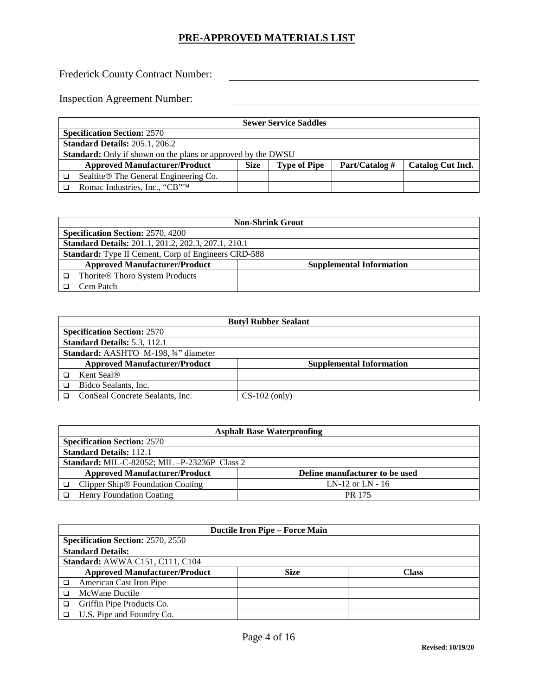Frederick County Contract Number:

| <b>Sewer Service Saddles</b>                                                                 |  |  |                          |  |
|----------------------------------------------------------------------------------------------|--|--|--------------------------|--|
| <b>Specification Section: 2570</b>                                                           |  |  |                          |  |
| <b>Standard Details: 205.1, 206.2</b>                                                        |  |  |                          |  |
| <b>Standard:</b> Only if shown on the plans or approved by the DWSU                          |  |  |                          |  |
| Part/Catalog #<br><b>Approved Manufacturer/Product</b><br><b>Size</b><br><b>Type of Pipe</b> |  |  | <b>Catalog Cut Incl.</b> |  |
| Sealtite <sup>®</sup> The General Engineering Co.                                            |  |  |                          |  |
| Romac Industries, Inc., "CB"™                                                                |  |  |                          |  |

| <b>Non-Shrink Grout</b>                                                 |  |  |
|-------------------------------------------------------------------------|--|--|
| <b>Specification Section: 2570, 4200</b>                                |  |  |
| <b>Standard Details:</b> 201.1, 201.2, 202.3, 207.1, 210.1              |  |  |
| <b>Standard:</b> Type II Cement, Corp of Engineers CRD-588              |  |  |
| <b>Approved Manufacturer/Product</b><br><b>Supplemental Information</b> |  |  |
| Thorite® Thoro System Products                                          |  |  |
| Cem Patch                                                               |  |  |

| <b>Butyl Rubber Sealant</b>                  |                                 |  |  |  |
|----------------------------------------------|---------------------------------|--|--|--|
| <b>Specification Section: 2570</b>           |                                 |  |  |  |
| Standard Details: 5.3, 112.1                 |                                 |  |  |  |
| <b>Standard:</b> AASHTO M-198, 3/4" diameter |                                 |  |  |  |
| <b>Approved Manufacturer/Product</b>         | <b>Supplemental Information</b> |  |  |  |
| Kent Seal®                                   |                                 |  |  |  |
| Bidco Sealants, Inc.                         |                                 |  |  |  |
| ConSeal Concrete Sealants, Inc.              | $CS-102$ (only)                 |  |  |  |

| <b>Asphalt Base Waterproofing</b>                                      |                                                       |  |  |
|------------------------------------------------------------------------|-------------------------------------------------------|--|--|
| <b>Specification Section: 2570</b>                                     |                                                       |  |  |
| <b>Standard Details: 112.1</b>                                         |                                                       |  |  |
|                                                                        | <b>Standard:</b> MIL-C-82052; MIL $-P-23236P$ Class 2 |  |  |
| <b>Approved Manufacturer/Product</b><br>Define manufacturer to be used |                                                       |  |  |
| LN-12 or LN - $16$<br>Clipper Ship <sup>®</sup> Foundation Coating     |                                                       |  |  |
| Henry Foundation Coating                                               | PR 175                                                |  |  |

| <b>Ductile Iron Pipe – Force Main</b>    |             |       |  |  |
|------------------------------------------|-------------|-------|--|--|
| <b>Specification Section: 2570, 2550</b> |             |       |  |  |
| <b>Standard Details:</b>                 |             |       |  |  |
| Standard: AWWA C151, C111, C104          |             |       |  |  |
| <b>Approved Manufacturer/Product</b>     | <b>Size</b> | Class |  |  |
| American Cast Iron Pipe                  |             |       |  |  |
| McWane Ductile                           |             |       |  |  |
| Griffin Pipe Products Co.                |             |       |  |  |
| U.S. Pipe and Foundry Co.                |             |       |  |  |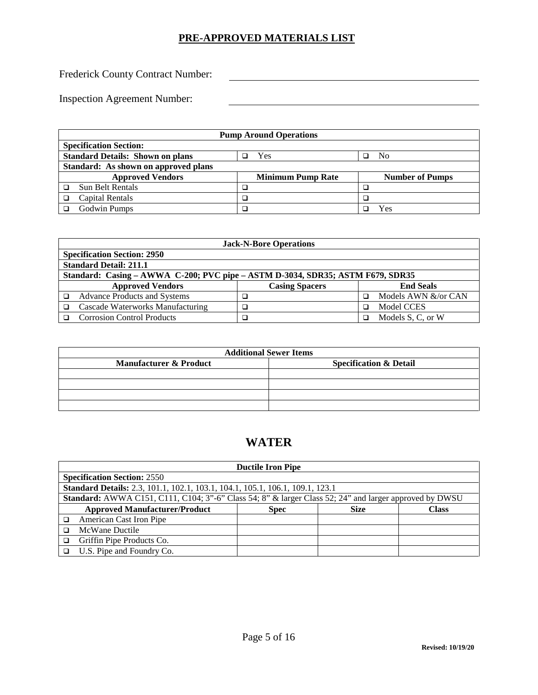Frederick County Contract Number:

Inspection Agreement Number:

| <b>Pump Around Operations</b> |                                                                  |  |                          |  |                        |
|-------------------------------|------------------------------------------------------------------|--|--------------------------|--|------------------------|
|                               | <b>Specification Section:</b>                                    |  |                          |  |                        |
|                               | <b>Standard Details: Shown on plans</b><br>Yes<br>N <sub>0</sub> |  |                          |  |                        |
|                               | Standard: As shown on approved plans                             |  |                          |  |                        |
|                               | <b>Approved Vendors</b>                                          |  | <b>Minimum Pump Rate</b> |  | <b>Number of Pumps</b> |
|                               | <b>Sun Belt Rentals</b>                                          |  |                          |  |                        |
|                               | Capital Rentals                                                  |  |                          |  |                        |
|                               | Godwin Pumps                                                     |  |                          |  | Yes                    |

|                                                                                | <b>Jack-N-Bore Operations</b>       |                       |   |                     |  |
|--------------------------------------------------------------------------------|-------------------------------------|-----------------------|---|---------------------|--|
|                                                                                | <b>Specification Section: 2950</b>  |                       |   |                     |  |
| <b>Standard Detail: 211.1</b>                                                  |                                     |                       |   |                     |  |
| Standard: Casing – AWWA C-200; PVC pipe – ASTM D-3034, SDR35; ASTM F679, SDR35 |                                     |                       |   |                     |  |
|                                                                                | <b>Approved Vendors</b>             | <b>Casing Spacers</b> |   | <b>End Seals</b>    |  |
|                                                                                | <b>Advance Products and Systems</b> |                       | □ | Models AWN &/or CAN |  |
|                                                                                | Cascade Waterworks Manufacturing    |                       | □ | <b>Model CCES</b>   |  |
|                                                                                | <b>Corrosion Control Products</b>   |                       | □ | Models S, C, or W   |  |

|                                   | <b>Additional Sewer Items</b>     |
|-----------------------------------|-----------------------------------|
| <b>Manufacturer &amp; Product</b> | <b>Specification &amp; Detail</b> |
|                                   |                                   |
|                                   |                                   |
|                                   |                                   |
|                                   |                                   |

# **WATER**

| <b>Ductile Iron Pipe</b>                                                                                      |             |             |              |  |
|---------------------------------------------------------------------------------------------------------------|-------------|-------------|--------------|--|
| <b>Specification Section: 2550</b>                                                                            |             |             |              |  |
| Standard Details: 2.3, 101.1, 102.1, 103.1, 104.1, 105.1, 106.1, 109.1, 123.1                                 |             |             |              |  |
| <b>Standard:</b> AWWA C151, C111, C104; 3"-6" Class 54; 8" & larger Class 52; 24" and larger approved by DWSU |             |             |              |  |
| <b>Approved Manufacturer/Product</b>                                                                          | <b>Spec</b> | <b>Size</b> | <b>Class</b> |  |
| American Cast Iron Pipe                                                                                       |             |             |              |  |
| McWane Ductile                                                                                                |             |             |              |  |
| Griffin Pipe Products Co.                                                                                     |             |             |              |  |
| U.S. Pipe and Foundry Co.                                                                                     |             |             |              |  |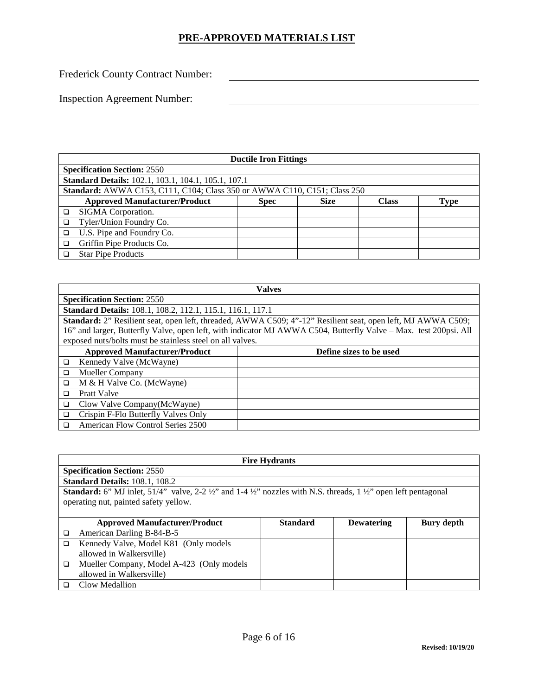Frederick County Contract Number:

| <b>Ductile Iron Fittings</b>                                             |             |             |              |             |
|--------------------------------------------------------------------------|-------------|-------------|--------------|-------------|
| <b>Specification Section: 2550</b>                                       |             |             |              |             |
| <b>Standard Details:</b> 102.1, 103.1, 104.1, 105.1, 107.1               |             |             |              |             |
| Standard: AWWA C153, C111, C104; Class 350 or AWWA C110, C151; Class 250 |             |             |              |             |
| <b>Approved Manufacturer/Product</b>                                     | <b>Spec</b> | <b>Size</b> | <b>Class</b> | <b>Type</b> |
| SIGMA Corporation.                                                       |             |             |              |             |
| Tyler/Union Foundry Co.                                                  |             |             |              |             |
| U.S. Pipe and Foundry Co.                                                |             |             |              |             |
| Griffin Pipe Products Co.                                                |             |             |              |             |
| <b>Star Pipe Products</b>                                                |             |             |              |             |

|                                                                                                                  | <b>Valves</b>           |  |  |  |  |
|------------------------------------------------------------------------------------------------------------------|-------------------------|--|--|--|--|
| <b>Specification Section: 2550</b>                                                                               |                         |  |  |  |  |
| Standard Details: 108.1, 108.2, 112.1, 115.1, 116.1, 117.1                                                       |                         |  |  |  |  |
| Standard: 2" Resilient seat, open left, threaded, AWWA C509; 4"-12" Resilient seat, open left, MJ AWWA C509;     |                         |  |  |  |  |
| 16" and larger, Butterfly Valve, open left, with indicator MJ AWWA C504, Butterfly Valve - Max. test 200psi. All |                         |  |  |  |  |
| exposed nuts/bolts must be stainless steel on all valves.                                                        |                         |  |  |  |  |
| <b>Approved Manufacturer/Product</b>                                                                             | Define sizes to be used |  |  |  |  |
| Kennedy Valve (McWayne)<br>□                                                                                     |                         |  |  |  |  |
| Mueller Company<br>□                                                                                             |                         |  |  |  |  |
| M & H Valve Co. (McWayne)<br>$\Box$                                                                              |                         |  |  |  |  |
| Pratt Valve<br>◻                                                                                                 |                         |  |  |  |  |
| Clow Valve Company(McWayne)<br>□                                                                                 |                         |  |  |  |  |
| Crispin F-Flo Butterfly Valves Only<br>◻                                                                         |                         |  |  |  |  |
| American Flow Control Series 2500<br>◻                                                                           |                         |  |  |  |  |

|   | <b>Fire Hydrants</b>                                                                                                                                     |                 |                   |            |  |  |
|---|----------------------------------------------------------------------------------------------------------------------------------------------------------|-----------------|-------------------|------------|--|--|
|   | <b>Specification Section: 2550</b>                                                                                                                       |                 |                   |            |  |  |
|   | <b>Standard Details: 108.1, 108.2</b>                                                                                                                    |                 |                   |            |  |  |
|   | <b>Standard:</b> 6" MJ inlet, 51/4" valve, 2-2 $\frac{1}{2}$ " and 1-4 $\frac{1}{2}$ " nozzles with N.S. threads, 1 $\frac{1}{2}$ " open left pentagonal |                 |                   |            |  |  |
|   | operating nut, painted safety yellow.                                                                                                                    |                 |                   |            |  |  |
|   |                                                                                                                                                          |                 |                   |            |  |  |
|   | <b>Approved Manufacturer/Product</b>                                                                                                                     | <b>Standard</b> | <b>Dewatering</b> | Bury depth |  |  |
| □ | American Darling B-84-B-5                                                                                                                                |                 |                   |            |  |  |
| ◻ | Kennedy Valve, Model K81 (Only models                                                                                                                    |                 |                   |            |  |  |
|   | allowed in Walkersville)                                                                                                                                 |                 |                   |            |  |  |
| □ | Mueller Company, Model A-423 (Only models                                                                                                                |                 |                   |            |  |  |
|   | allowed in Walkersville)                                                                                                                                 |                 |                   |            |  |  |
|   | Clow Medallion                                                                                                                                           |                 |                   |            |  |  |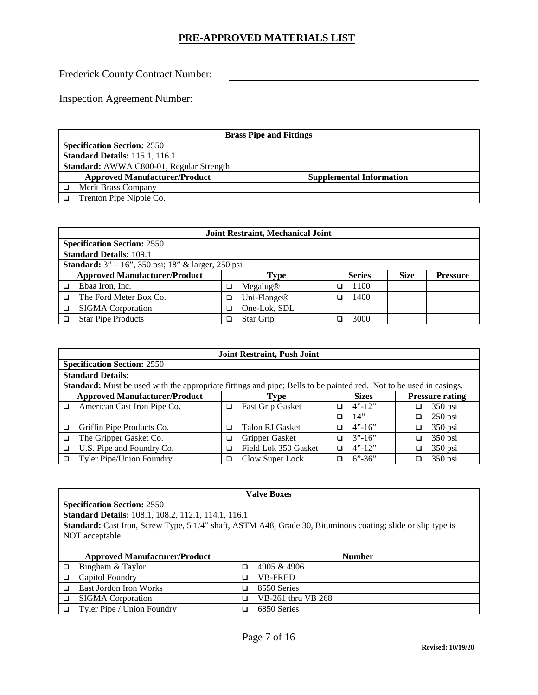Frederick County Contract Number:

| <b>Brass Pipe and Fittings</b>           |                                 |  |  |
|------------------------------------------|---------------------------------|--|--|
| <b>Specification Section: 2550</b>       |                                 |  |  |
| <b>Standard Details: 115.1, 116.1</b>    |                                 |  |  |
| Standard: AWWA C800-01, Regular Strength |                                 |  |  |
| <b>Approved Manufacturer/Product</b>     | <b>Supplemental Information</b> |  |  |
| Merit Brass Company                      |                                 |  |  |
| Trenton Pipe Nipple Co.                  |                                 |  |  |

|   | <b>Joint Restraint, Mechanical Joint</b>                  |   |                      |  |               |             |                 |
|---|-----------------------------------------------------------|---|----------------------|--|---------------|-------------|-----------------|
|   | <b>Specification Section: 2550</b>                        |   |                      |  |               |             |                 |
|   | <b>Standard Details: 109.1</b>                            |   |                      |  |               |             |                 |
|   | <b>Standard:</b> 3" – 16", 350 psi; 18" & larger, 250 psi |   |                      |  |               |             |                 |
|   | <b>Approved Manufacturer/Product</b>                      |   | Type                 |  | <b>Series</b> | <b>Size</b> | <b>Pressure</b> |
| ◻ | Ebaa Iron, Inc.                                           | ◻ | Megalug <sup>®</sup> |  | 1100          |             |                 |
| □ | The Ford Meter Box Co.                                    | □ | Uni-Flange®          |  | 1400          |             |                 |
| ◻ | <b>SIGMA</b> Corporation                                  | □ | One-Lok, SDL         |  |               |             |                 |
|   | <b>Star Pipe Products</b>                                 | ◻ | Star Grip            |  | 3000          |             |                 |

|   | <b>Joint Restraint, Push Joint</b>                                                                                        |   |                         |   |                                                             |    |           |
|---|---------------------------------------------------------------------------------------------------------------------------|---|-------------------------|---|-------------------------------------------------------------|----|-----------|
|   | <b>Specification Section: 2550</b>                                                                                        |   |                         |   |                                                             |    |           |
|   | <b>Standard Details:</b>                                                                                                  |   |                         |   |                                                             |    |           |
|   | <b>Standard:</b> Must be used with the appropriate fittings and pipe; Bells to be painted red. Not to be used in casings. |   |                         |   |                                                             |    |           |
|   | <b>Approved Manufacturer/Product</b><br><b>Sizes</b><br><b>Pressure rating</b><br><b>Type</b>                             |   |                         |   |                                                             |    |           |
| □ | American Cast Iron Pipe Co.                                                                                               | □ | <b>Fast Grip Gasket</b> | ◻ | $4"$ -12"                                                   | □  | $350$ psi |
|   |                                                                                                                           |   |                         | ◻ | 14"                                                         | ◻  | $250$ psi |
| ◻ | Griffin Pipe Products Co.                                                                                                 | ◻ | Talon RJ Gasket         | ◻ | $4" - 16"$                                                  |    | $350$ psi |
| ◻ | The Gripper Gasket Co.                                                                                                    | □ | Gripper Gasket          | ◻ | $3''-16''$                                                  | □  | $350$ psi |
|   | U.S. Pipe and Foundry Co.                                                                                                 | ◻ | Field Lok 350 Gasket    | ◻ | $4"$ -12"                                                   | □  | $350$ psi |
|   | Tyler Pipe/Union Foundry                                                                                                  | ◻ | Clow Super Lock         | ◻ | $6^{\prime\prime}$ -36 <sup><math>\prime\prime</math></sup> | a. | $350$ psi |

| <b>Valve Boxes</b>                                         |                                                                                                                     |  |  |  |
|------------------------------------------------------------|---------------------------------------------------------------------------------------------------------------------|--|--|--|
| <b>Specification Section: 2550</b>                         |                                                                                                                     |  |  |  |
| <b>Standard Details:</b> 108.1, 108.2, 112.1, 114.1, 116.1 |                                                                                                                     |  |  |  |
|                                                            | <b>Standard:</b> Cast Iron, Screw Type, 5 1/4" shaft, ASTM A48, Grade 30, Bituminous coating; slide or slip type is |  |  |  |
| NOT acceptable                                             |                                                                                                                     |  |  |  |
|                                                            |                                                                                                                     |  |  |  |
| <b>Approved Manufacturer/Product</b>                       | <b>Number</b>                                                                                                       |  |  |  |
| Bingham & Taylor<br>◻                                      | 4905 & 4906<br>◻                                                                                                    |  |  |  |
| Capitol Foundry<br>◻                                       | <b>VB-FRED</b><br>□                                                                                                 |  |  |  |
| East Jordon Iron Works<br>◻                                | 8550 Series<br>◻                                                                                                    |  |  |  |
| <b>SIGMA</b> Corporation<br>□                              | VB-261 thru VB 268<br>□                                                                                             |  |  |  |
| Tyler Pipe / Union Foundry<br>□                            | 6850 Series<br>◻                                                                                                    |  |  |  |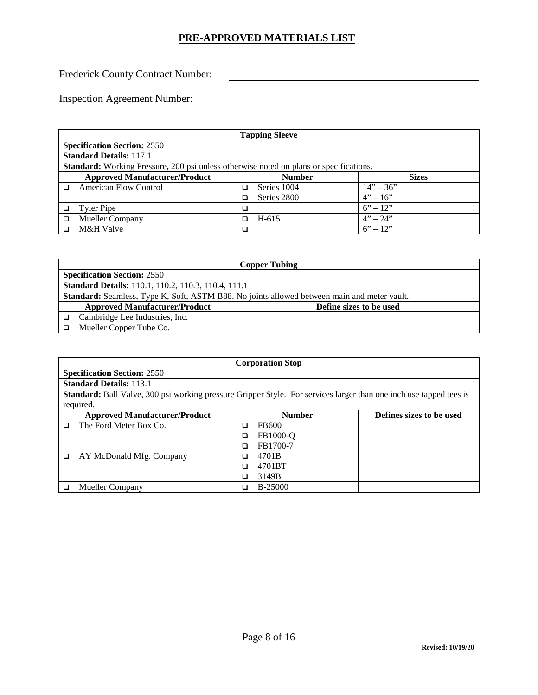Frederick County Contract Number:

| <b>Tapping Sleeve</b>                                                                         |   |               |              |  |
|-----------------------------------------------------------------------------------------------|---|---------------|--------------|--|
| <b>Specification Section: 2550</b>                                                            |   |               |              |  |
| <b>Standard Details: 117.1</b>                                                                |   |               |              |  |
| <b>Standard:</b> Working Pressure, 200 psi unless otherwise noted on plans or specifications. |   |               |              |  |
| <b>Approved Manufacturer/Product</b>                                                          |   | <b>Number</b> | <b>Sizes</b> |  |
| <b>American Flow Control</b>                                                                  | □ | Series 1004   | $14" - 36"$  |  |
|                                                                                               | ◻ | Series 2800   | $4" - 16"$   |  |
| Tyler Pipe                                                                                    |   |               | $6'' - 12''$ |  |
| <b>Mueller Company</b>                                                                        | □ | $H-615$       | $4" - 24"$   |  |
| M&H Valve                                                                                     |   |               | $6'' - 12''$ |  |

| <b>Copper Tubing</b>                                                                               |  |  |  |  |
|----------------------------------------------------------------------------------------------------|--|--|--|--|
| <b>Specification Section: 2550</b>                                                                 |  |  |  |  |
| <b>Standard Details:</b> 110.1, 110.2, 110.3, 110.4, 111.1                                         |  |  |  |  |
| <b>Standard:</b> Seamless, Type K, Soft, ASTM B88. No joints allowed between main and meter vault. |  |  |  |  |
| <b>Approved Manufacturer/Product</b><br>Define sizes to be used                                    |  |  |  |  |
| Cambridge Lee Industries, Inc.                                                                     |  |  |  |  |
| Mueller Copper Tube Co.                                                                            |  |  |  |  |

|   | <b>Corporation Stop</b>                                                                                                   |   |                |                          |  |
|---|---------------------------------------------------------------------------------------------------------------------------|---|----------------|--------------------------|--|
|   | <b>Specification Section: 2550</b>                                                                                        |   |                |                          |  |
|   | <b>Standard Details: 113.1</b>                                                                                            |   |                |                          |  |
|   | <b>Standard:</b> Ball Valve, 300 psi working pressure Gripper Style. For services larger than one inch use tapped tees is |   |                |                          |  |
|   | required.                                                                                                                 |   |                |                          |  |
|   | <b>Approved Manufacturer/Product</b>                                                                                      |   | <b>Number</b>  | Defines sizes to be used |  |
| n | The Ford Meter Box Co.                                                                                                    | □ | FB600          |                          |  |
|   |                                                                                                                           | □ | FB1000-O       |                          |  |
|   |                                                                                                                           |   | FB1700-7       |                          |  |
| □ | AY McDonald Mfg. Company                                                                                                  | □ | 4701B          |                          |  |
|   |                                                                                                                           |   | 4701BT         |                          |  |
|   |                                                                                                                           |   | 3149B          |                          |  |
|   | <b>Mueller Company</b>                                                                                                    |   | <b>B-25000</b> |                          |  |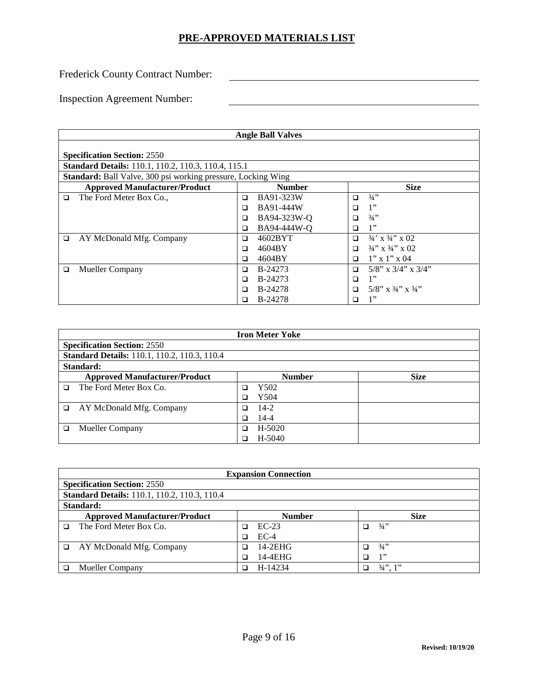Frederick County Contract Number:

| <b>Angle Ball Valves</b>                                             |                                                            |                                   |  |  |  |  |
|----------------------------------------------------------------------|------------------------------------------------------------|-----------------------------------|--|--|--|--|
| <b>Specification Section: 2550</b>                                   |                                                            |                                   |  |  |  |  |
|                                                                      | <b>Standard Details:</b> 110.1, 110.2, 110.3, 110.4, 115.1 |                                   |  |  |  |  |
| <b>Standard:</b> Ball Valve, 300 psi working pressure, Locking Wing  |                                                            |                                   |  |  |  |  |
| <b>Size</b><br><b>Approved Manufacturer/Product</b><br><b>Number</b> |                                                            |                                   |  |  |  |  |
| The Ford Meter Box Co.,<br>▫                                         | BA91-323W<br>□                                             | 3/4<br>◻                          |  |  |  |  |
|                                                                      | BA91-444W<br>◻                                             | 1"<br>∩                           |  |  |  |  |
|                                                                      | BA94-323W-Q<br>◻                                           | $3/4$ "<br>□                      |  |  |  |  |
|                                                                      | BA94-444W-Q<br>□                                           | 1"<br>◻                           |  |  |  |  |
| AY McDonald Mfg. Company<br>$\Box$                                   | 4602BYT<br>□                                               | $3/4$ ' x $3/4$ '' x 02<br>$\Box$ |  |  |  |  |
|                                                                      | 4604BY<br>◻                                                | $3/4$ " x $3/4$ " x 02<br>□       |  |  |  |  |
|                                                                      | 4604BY<br>◻                                                | $1'' \times 1'' \times 04$<br>□   |  |  |  |  |
| <b>Mueller Company</b><br>□                                          | B-24273<br>□                                               | $5/8$ " x $3/4$ " x $3/4$ "<br>□  |  |  |  |  |
|                                                                      | B-24273<br>⊓                                               | 1"<br>◻                           |  |  |  |  |
|                                                                      | <b>B-24278</b><br>□                                        | $5/8$ " x $3/4$ " x $3/4$ "<br>□  |  |  |  |  |
|                                                                      | <b>B-24278</b><br>□                                        | 1"<br>□                           |  |  |  |  |

|        | <b>Iron Meter Yoke</b>                              |   |               |             |  |  |
|--------|-----------------------------------------------------|---|---------------|-------------|--|--|
|        | <b>Specification Section: 2550</b>                  |   |               |             |  |  |
|        | <b>Standard Details: 110.1, 110.2, 110.3, 110.4</b> |   |               |             |  |  |
|        | Standard:                                           |   |               |             |  |  |
|        | <b>Approved Manufacturer/Product</b>                |   | <b>Number</b> | <b>Size</b> |  |  |
| n      | The Ford Meter Box Co.                              |   | Y502          |             |  |  |
|        |                                                     |   | Y504          |             |  |  |
| $\Box$ | AY McDonald Mfg. Company                            |   | $14-2$        |             |  |  |
|        |                                                     |   | $14 - 4$      |             |  |  |
| □      | <b>Mueller Company</b>                              | □ | H-5020        |             |  |  |
|        |                                                     |   | H-5040        |             |  |  |

|          | <b>Expansion Connection</b>                         |  |               |   |                    |  |
|----------|-----------------------------------------------------|--|---------------|---|--------------------|--|
|          | <b>Specification Section: 2550</b>                  |  |               |   |                    |  |
|          | <b>Standard Details:</b> 110.1, 110.2, 110.3, 110.4 |  |               |   |                    |  |
|          | Standard:                                           |  |               |   |                    |  |
|          | <b>Approved Manufacturer/Product</b>                |  | <b>Number</b> |   | <b>Size</b>        |  |
| □        | The Ford Meter Box Co.                              |  | $EC-23$       | ◻ | $\frac{3}{4}$      |  |
|          |                                                     |  | $EC-4$        |   |                    |  |
| <b>□</b> | AY McDonald Mfg. Company                            |  | $14-2EHG$     |   | 3/4                |  |
|          |                                                     |  | $14-4EHG$     | □ | 1"                 |  |
|          | Mueller Company                                     |  | H-14234       |   | $\frac{3}{4}$ , 1" |  |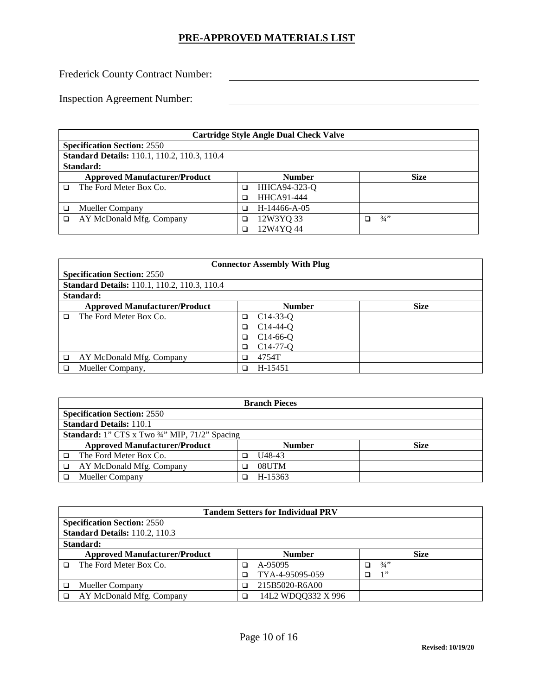Frederick County Contract Number:

| <b>Cartridge Style Angle Dual Check Valve</b>       |   |                   |   |             |  |
|-----------------------------------------------------|---|-------------------|---|-------------|--|
| <b>Specification Section: 2550</b>                  |   |                   |   |             |  |
| <b>Standard Details: 110.1, 110.2, 110.3, 110.4</b> |   |                   |   |             |  |
| Standard:                                           |   |                   |   |             |  |
| <b>Approved Manufacturer/Product</b>                |   | <b>Number</b>     |   | <b>Size</b> |  |
| The Ford Meter Box Co.                              | ◻ | HHCA94-323-Q      |   |             |  |
|                                                     |   | <b>HHCA91-444</b> |   |             |  |
| <b>Mueller Company</b>                              |   | H-14466-A-05      |   |             |  |
| AY McDonald Mfg. Company                            | ◻ | 12W3YQ 33         | □ | $3/4$ "     |  |
|                                                     |   | 12W4YQ44          |   |             |  |

|   | <b>Connector Assembly With Plug</b>                 |   |               |             |  |
|---|-----------------------------------------------------|---|---------------|-------------|--|
|   | <b>Specification Section: 2550</b>                  |   |               |             |  |
|   | <b>Standard Details: 110.1, 110.2, 110.3, 110.4</b> |   |               |             |  |
|   | Standard:                                           |   |               |             |  |
|   | <b>Approved Manufacturer/Product</b>                |   | <b>Number</b> | <b>Size</b> |  |
| n | The Ford Meter Box Co.                              | ⊐ | $C14-33-0$    |             |  |
|   |                                                     | □ | $C14-44-Q$    |             |  |
|   |                                                     | □ | $C14-66-Q$    |             |  |
|   |                                                     | □ | $C14-77-Q$    |             |  |
| ◻ | AY McDonald Mfg. Company                            | ר | 4754T         |             |  |
|   | Mueller Company,                                    | ב | H-15451       |             |  |

| <b>Branch Pieces</b>                                 |                              |  |  |  |
|------------------------------------------------------|------------------------------|--|--|--|
| <b>Specification Section: 2550</b>                   |                              |  |  |  |
| <b>Standard Details: 110.1</b>                       |                              |  |  |  |
| <b>Standard:</b> 1" CTS x Two 34" MIP, 71/2" Spacing |                              |  |  |  |
| <b>Approved Manufacturer/Product</b>                 | <b>Number</b><br><b>Size</b> |  |  |  |
| The Ford Meter Box Co.                               | U48-43                       |  |  |  |
| AY McDonald Mfg. Company                             | 08UTM<br>נ                   |  |  |  |
| <b>Mueller Company</b>                               | H-15363                      |  |  |  |

| <b>Tandem Setters for Individual PRV</b> |  |                    |  |             |  |  |
|------------------------------------------|--|--------------------|--|-------------|--|--|
| <b>Specification Section: 2550</b>       |  |                    |  |             |  |  |
| <b>Standard Details: 110.2, 110.3</b>    |  |                    |  |             |  |  |
| Standard:                                |  |                    |  |             |  |  |
| <b>Approved Manufacturer/Product</b>     |  | <b>Number</b>      |  | <b>Size</b> |  |  |
| The Ford Meter Box Co.                   |  | A-95095            |  | 3/4         |  |  |
|                                          |  | TYA-4-95095-059    |  | 1"          |  |  |
| <b>Mueller Company</b>                   |  | 215B5020-R6A00     |  |             |  |  |
| AY McDonald Mfg. Company                 |  | 14L2 WDQQ332 X 996 |  |             |  |  |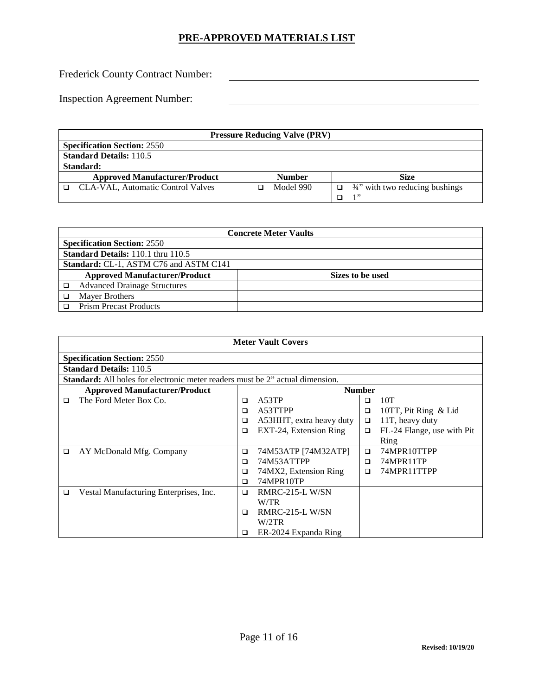Frederick County Contract Number:

| <b>Pressure Reducing Valve (PRV)</b> |  |               |        |                                            |
|--------------------------------------|--|---------------|--------|--------------------------------------------|
| <b>Specification Section: 2550</b>   |  |               |        |                                            |
| <b>Standard Details: 110.5</b>       |  |               |        |                                            |
| Standard:                            |  |               |        |                                            |
| <b>Approved Manufacturer/Product</b> |  | <b>Number</b> |        | Size                                       |
| □ CLA-VAL, Automatic Control Valves  |  | Model 990     | $\Box$ | $\frac{3}{4}$ " with two reducing bushings |
|                                      |  |               |        | 1, 2                                       |

| <b>Concrete Meter Vaults</b>           |                  |  |  |  |  |
|----------------------------------------|------------------|--|--|--|--|
| <b>Specification Section: 2550</b>     |                  |  |  |  |  |
| Standard Details: 110.1 thru 110.5     |                  |  |  |  |  |
| Standard: CL-1, ASTM C76 and ASTM C141 |                  |  |  |  |  |
| <b>Approved Manufacturer/Product</b>   | Sizes to be used |  |  |  |  |
| <b>Advanced Drainage Structures</b>    |                  |  |  |  |  |
| <b>Mayer Brothers</b>                  |                  |  |  |  |  |
| <b>Prism Precast Products</b>          |                  |  |  |  |  |

|        | <b>Meter Vault Covers</b>                                                            |        |                          |               |                            |  |  |  |
|--------|--------------------------------------------------------------------------------------|--------|--------------------------|---------------|----------------------------|--|--|--|
|        | <b>Specification Section: 2550</b>                                                   |        |                          |               |                            |  |  |  |
|        | <b>Standard Details: 110.5</b>                                                       |        |                          |               |                            |  |  |  |
|        | <b>Standard:</b> All holes for electronic meter readers must be 2" actual dimension. |        |                          |               |                            |  |  |  |
|        | <b>Approved Manufacturer/Product</b>                                                 |        |                          | <b>Number</b> |                            |  |  |  |
| ◻      | The Ford Meter Box Co.                                                               | □      | A53TP                    | $\Box$        | 10T                        |  |  |  |
|        |                                                                                      | □      | A53TTPP                  | $\Box$        | 10TT, Pit Ring & Lid       |  |  |  |
|        |                                                                                      | □      | A53HHT, extra heavy duty | □             | 11T, heavy duty            |  |  |  |
|        |                                                                                      | ◻      | EXT-24, Extension Ring   | $\Box$        | FL-24 Flange, use with Pit |  |  |  |
|        |                                                                                      |        |                          |               | Ring                       |  |  |  |
| $\Box$ | AY McDonald Mfg. Company                                                             | □      | 74M53ATP [74M32ATP]      | $\Box$        | 74MPR10TTPP                |  |  |  |
|        |                                                                                      | ◻      | 74M53ATTPP               | □             | 74MPR11TP                  |  |  |  |
|        |                                                                                      | □      | 74MX2, Extension Ring    | $\Box$        | 74MPR11TTPP                |  |  |  |
|        |                                                                                      | ◻      | 74MPR10TP                |               |                            |  |  |  |
| $\Box$ | Vestal Manufacturing Enterprises, Inc.                                               | $\Box$ | RMRC-215-L W/SN          |               |                            |  |  |  |
|        |                                                                                      |        | W/TR                     |               |                            |  |  |  |
|        |                                                                                      | □      | <b>RMRC-215-L W/SN</b>   |               |                            |  |  |  |
|        |                                                                                      |        | W/2TR                    |               |                            |  |  |  |
|        |                                                                                      | □      | ER-2024 Expanda Ring     |               |                            |  |  |  |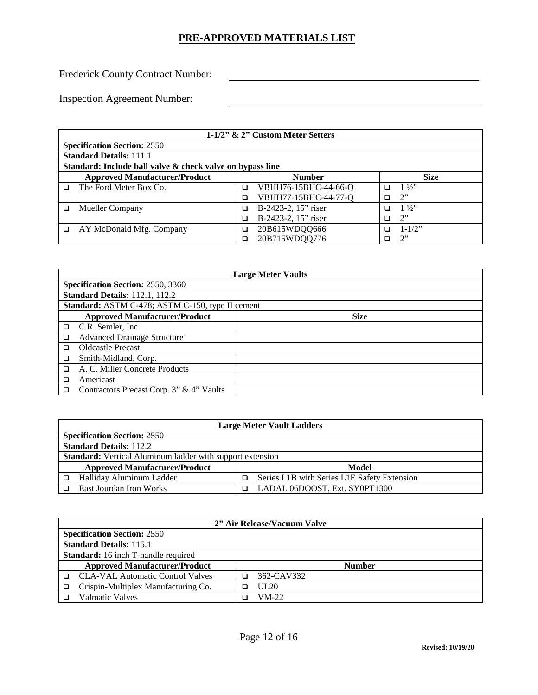Frederick County Contract Number:

|    | 1-1/2" $\&$ 2" Custom Meter Setters                                  |   |                      |   |                |  |  |  |
|----|----------------------------------------------------------------------|---|----------------------|---|----------------|--|--|--|
|    | <b>Specification Section: 2550</b>                                   |   |                      |   |                |  |  |  |
|    | <b>Standard Details: 111.1</b>                                       |   |                      |   |                |  |  |  |
|    | Standard: Include ball valve & check valve on bypass line            |   |                      |   |                |  |  |  |
|    | <b>Approved Manufacturer/Product</b><br><b>Size</b><br><b>Number</b> |   |                      |   |                |  |  |  |
| n. | The Ford Meter Box Co.                                               | □ | VBHH76-15BHC-44-66-Q |   | $1\frac{1}{2}$ |  |  |  |
|    |                                                                      | ℶ | VBHH77-15BHC-44-77-Q |   | 2"             |  |  |  |
| □  | <b>Mueller Company</b>                                               | ◻ | B-2423-2, 15" riser  | ב | $1\frac{1}{2}$ |  |  |  |
|    |                                                                      |   | B-2423-2, 15" riser  | ב | 2"             |  |  |  |
| ◻  | AY McDonald Mfg. Company                                             | □ | 20B615WDQQ666        | ב | $1 - 1/2$ "    |  |  |  |
|    |                                                                      |   | 20B715WDQQ776        |   | 2              |  |  |  |

|   | <b>Large Meter Vaults</b>                        |             |  |  |
|---|--------------------------------------------------|-------------|--|--|
|   | <b>Specification Section: 2550, 3360</b>         |             |  |  |
|   | <b>Standard Details: 112.1, 112.2</b>            |             |  |  |
|   | Standard: ASTM C-478; ASTM C-150, type II cement |             |  |  |
|   | <b>Approved Manufacturer/Product</b>             | <b>Size</b> |  |  |
| □ | C.R. Semler, Inc.                                |             |  |  |
| □ | <b>Advanced Drainage Structure</b>               |             |  |  |
| □ | <b>Oldcastle Precast</b>                         |             |  |  |
| □ | Smith-Midland, Corp.                             |             |  |  |
| ◻ | A. C. Miller Concrete Products                   |             |  |  |
| ◻ | Americast                                        |             |  |  |
| □ | Contractors Precast Corp. 3" & 4" Vaults         |             |  |  |

| <b>Large Meter Vault Ladders</b>                                        |                               |  |  |  |  |
|-------------------------------------------------------------------------|-------------------------------|--|--|--|--|
| <b>Specification Section: 2550</b>                                      |                               |  |  |  |  |
| <b>Standard Details: 112.2</b>                                          |                               |  |  |  |  |
| <b>Standard:</b> Vertical Aluminum ladder with support extension        |                               |  |  |  |  |
| <b>Approved Manufacturer/Product</b><br>Model                           |                               |  |  |  |  |
| Halliday Aluminum Ladder<br>Series L1B with Series L1E Safety Extension |                               |  |  |  |  |
| East Jourdan Iron Works                                                 | LADAL 06DOOST, Ext. SY0PT1300 |  |  |  |  |

| 2" Air Release/Vacuum Valve                           |  |            |  |  |
|-------------------------------------------------------|--|------------|--|--|
| <b>Specification Section: 2550</b>                    |  |            |  |  |
| <b>Standard Details: 115.1</b>                        |  |            |  |  |
| <b>Standard:</b> 16 inch T-handle required            |  |            |  |  |
| <b>Approved Manufacturer/Product</b><br><b>Number</b> |  |            |  |  |
| □ CLA-VAL Automatic Control Valves                    |  | 362-CAV332 |  |  |
| Crispin-Multiplex Manufacturing Co.                   |  | UL20       |  |  |
| <b>Valmatic Valves</b>                                |  | $VM-22$    |  |  |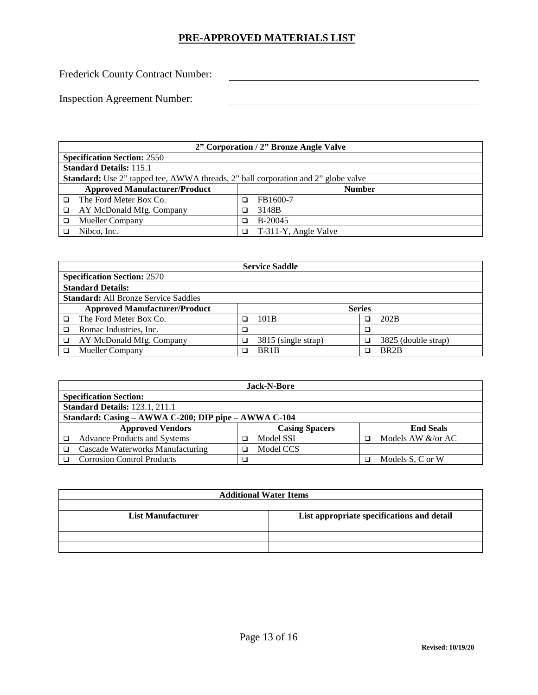Frederick County Contract Number:

|                                                       | 2" Corporation / 2" Bronze Angle Valve                                                   |   |                      |  |
|-------------------------------------------------------|------------------------------------------------------------------------------------------|---|----------------------|--|
|                                                       | <b>Specification Section: 2550</b>                                                       |   |                      |  |
|                                                       | <b>Standard Details: 115.1</b>                                                           |   |                      |  |
|                                                       | <b>Standard:</b> Use 2" tapped tee, AWWA threads, 2" ball corporation and 2" globe valve |   |                      |  |
| <b>Approved Manufacturer/Product</b><br><b>Number</b> |                                                                                          |   |                      |  |
|                                                       | The Ford Meter Box Co.                                                                   |   | FB1600-7             |  |
|                                                       | AY McDonald Mfg. Company                                                                 |   | 3148B                |  |
|                                                       | <b>Mueller Company</b>                                                                   | ב | B-20045              |  |
|                                                       | Nibco, Inc.                                                                              |   | T-311-Y, Angle Valve |  |

|   | <b>Service Saddle</b>                                 |   |                     |   |                     |  |
|---|-------------------------------------------------------|---|---------------------|---|---------------------|--|
|   | <b>Specification Section: 2570</b>                    |   |                     |   |                     |  |
|   | <b>Standard Details:</b>                              |   |                     |   |                     |  |
|   | <b>Standard:</b> All Bronze Service Saddles           |   |                     |   |                     |  |
|   | <b>Approved Manufacturer/Product</b><br><b>Series</b> |   |                     |   |                     |  |
| ◻ | The Ford Meter Box Co.                                | ⊐ | 101B                | □ | 202B                |  |
|   | Romac Industries, Inc.                                | ⊐ |                     | □ |                     |  |
|   | AY McDonald Mfg. Company                              |   | 3815 (single strap) |   | 3825 (double strap) |  |
|   | <b>Mueller Company</b>                                |   | BR <sub>1</sub> B   |   | BR <sub>2</sub> B   |  |

| <b>Jack-N-Bore</b>                                                   |           |                           |  |  |  |  |
|----------------------------------------------------------------------|-----------|---------------------------|--|--|--|--|
| <b>Specification Section:</b>                                        |           |                           |  |  |  |  |
| <b>Standard Details: 123.1, 211.1</b>                                |           |                           |  |  |  |  |
| Standard: Casing – AWWA C-200; DIP pipe – AWWA C-104                 |           |                           |  |  |  |  |
| <b>Approved Vendors</b><br><b>Casing Spacers</b><br><b>End Seals</b> |           |                           |  |  |  |  |
| <b>Advance Products and Systems</b>                                  | Model SSI | Models AW $&\sqrt{or}$ AC |  |  |  |  |
| Cascade Waterworks Manufacturing                                     | Model CCS |                           |  |  |  |  |
| <b>Corrosion Control Products</b>                                    |           | Models S, C or W<br>П     |  |  |  |  |

| <b>Additional Water Items</b>                                          |  |  |  |  |  |
|------------------------------------------------------------------------|--|--|--|--|--|
|                                                                        |  |  |  |  |  |
| <b>List Manufacturer</b><br>List appropriate specifications and detail |  |  |  |  |  |
|                                                                        |  |  |  |  |  |
|                                                                        |  |  |  |  |  |
|                                                                        |  |  |  |  |  |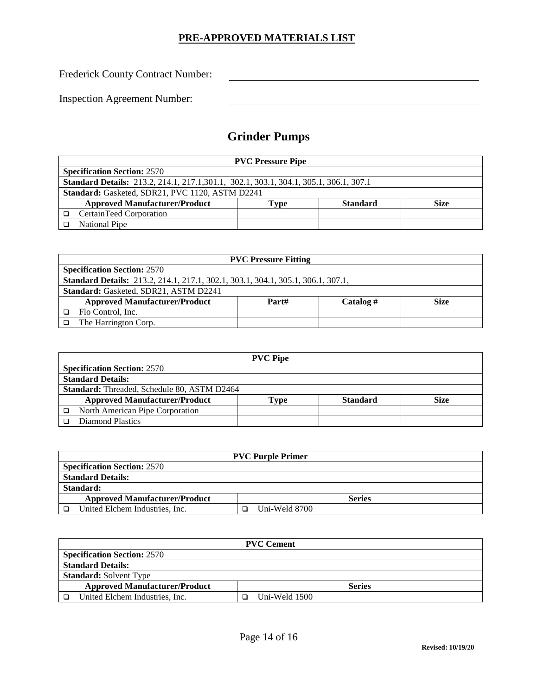Frederick County Contract Number:

Inspection Agreement Number:

# **Grinder Pumps**

| <b>PVC Pressure Pipe</b>                                                                     |  |  |  |  |  |
|----------------------------------------------------------------------------------------------|--|--|--|--|--|
| <b>Specification Section: 2570</b>                                                           |  |  |  |  |  |
| <b>Standard Details:</b> 213.2, 214.1, 217.1,301.1, 302.1, 303.1, 304.1, 305.1, 306.1, 307.1 |  |  |  |  |  |
| Standard: Gasketed, SDR21, PVC 1120, ASTM D2241                                              |  |  |  |  |  |
| <b>Approved Manufacturer/Product</b><br><b>Standard</b><br><b>Size</b><br>Tvpe               |  |  |  |  |  |
| CertainTeed Corporation                                                                      |  |  |  |  |  |
| National Pipe                                                                                |  |  |  |  |  |

| <b>PVC Pressure Fitting</b>                                                             |  |  |  |  |  |  |
|-----------------------------------------------------------------------------------------|--|--|--|--|--|--|
| <b>Specification Section: 2570</b>                                                      |  |  |  |  |  |  |
| <b>Standard Details:</b> 213.2, 214.1, 217.1, 302.1, 303.1, 304.1, 305.1, 306.1, 307.1, |  |  |  |  |  |  |
| <b>Standard: Gasketed, SDR21, ASTM D2241</b>                                            |  |  |  |  |  |  |
| <b>Approved Manufacturer/Product</b><br>Part#<br>Catalog #<br><b>Size</b>               |  |  |  |  |  |  |
| Flo Control, Inc.                                                                       |  |  |  |  |  |  |
| The Harrington Corp.                                                                    |  |  |  |  |  |  |

|                                                    | <b>PVC Pipe</b> |                 |      |  |  |  |
|----------------------------------------------------|-----------------|-----------------|------|--|--|--|
| <b>Specification Section: 2570</b>                 |                 |                 |      |  |  |  |
| <b>Standard Details:</b>                           |                 |                 |      |  |  |  |
| <b>Standard:</b> Threaded, Schedule 80, ASTM D2464 |                 |                 |      |  |  |  |
| <b>Approved Manufacturer/Product</b>               | `vpe            | <b>Standard</b> | Size |  |  |  |
| North American Pipe Corporation                    |                 |                 |      |  |  |  |
| Diamond Plastics                                   |                 |                 |      |  |  |  |

| <b>PVC Purple Primer</b>                              |               |  |  |
|-------------------------------------------------------|---------------|--|--|
| <b>Specification Section: 2570</b>                    |               |  |  |
| <b>Standard Details:</b>                              |               |  |  |
| Standard:                                             |               |  |  |
| <b>Approved Manufacturer/Product</b><br><b>Series</b> |               |  |  |
| United Elchem Industries, Inc.                        | Uni-Weld 8700 |  |  |

| <b>PVC Cement</b>                                     |                    |  |
|-------------------------------------------------------|--------------------|--|
| <b>Specification Section: 2570</b>                    |                    |  |
| <b>Standard Details:</b>                              |                    |  |
| <b>Standard:</b> Solvent Type                         |                    |  |
| <b>Approved Manufacturer/Product</b><br><b>Series</b> |                    |  |
| United Elchem Industries, Inc.                        | Uni-Weld 1500<br>ו |  |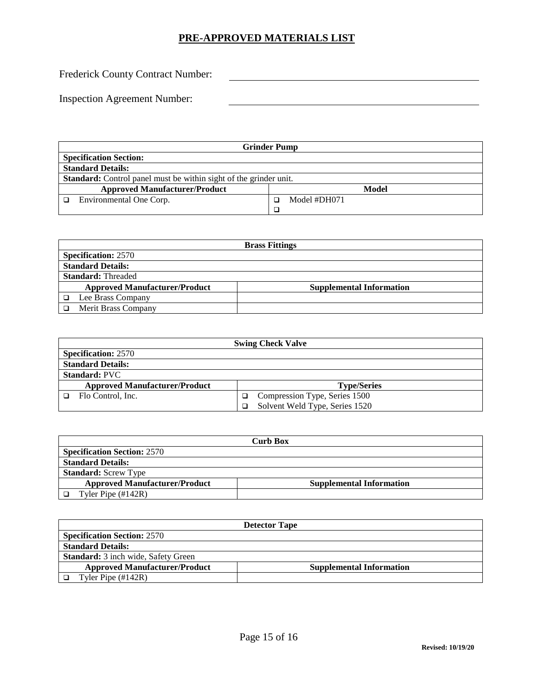Frederick County Contract Number:

| <b>Grinder Pump</b>                                               |              |  |  |
|-------------------------------------------------------------------|--------------|--|--|
| <b>Specification Section:</b>                                     |              |  |  |
| <b>Standard Details:</b>                                          |              |  |  |
| Standard: Control panel must be within sight of the grinder unit. |              |  |  |
| <b>Approved Manufacturer/Product</b>                              | <b>Model</b> |  |  |
| Environmental One Corp.                                           | Model #DH071 |  |  |
|                                                                   |              |  |  |

| <b>Brass Fittings</b>                |                                 |  |  |
|--------------------------------------|---------------------------------|--|--|
| <b>Specification: 2570</b>           |                                 |  |  |
| <b>Standard Details:</b>             |                                 |  |  |
| <b>Standard: Threaded</b>            |                                 |  |  |
| <b>Approved Manufacturer/Product</b> | <b>Supplemental Information</b> |  |  |
| Lee Brass Company                    |                                 |  |  |
| Merit Brass Company                  |                                 |  |  |

| <b>Swing Check Valve</b>             |                                |  |  |
|--------------------------------------|--------------------------------|--|--|
| <b>Specification: 2570</b>           |                                |  |  |
| <b>Standard Details:</b>             |                                |  |  |
| <b>Standard: PVC</b>                 |                                |  |  |
| <b>Approved Manufacturer/Product</b> | <b>Type/Series</b>             |  |  |
| Flo Control, Inc.                    | Compression Type, Series 1500  |  |  |
|                                      | Solvent Weld Type, Series 1520 |  |  |

| <b>Curb Box</b>                      |                                 |  |  |
|--------------------------------------|---------------------------------|--|--|
| <b>Specification Section: 2570</b>   |                                 |  |  |
| <b>Standard Details:</b>             |                                 |  |  |
| <b>Standard:</b> Screw Type          |                                 |  |  |
| <b>Approved Manufacturer/Product</b> | <b>Supplemental Information</b> |  |  |
| Tyler Pipe $(\text{\#}142R)$         |                                 |  |  |

| <b>Detector Tape</b>                       |                                 |  |  |
|--------------------------------------------|---------------------------------|--|--|
| <b>Specification Section: 2570</b>         |                                 |  |  |
| <b>Standard Details:</b>                   |                                 |  |  |
| <b>Standard:</b> 3 inch wide, Safety Green |                                 |  |  |
| <b>Approved Manufacturer/Product</b>       | <b>Supplemental Information</b> |  |  |
| Tyler Pipe $(\text{\#}142R)$               |                                 |  |  |